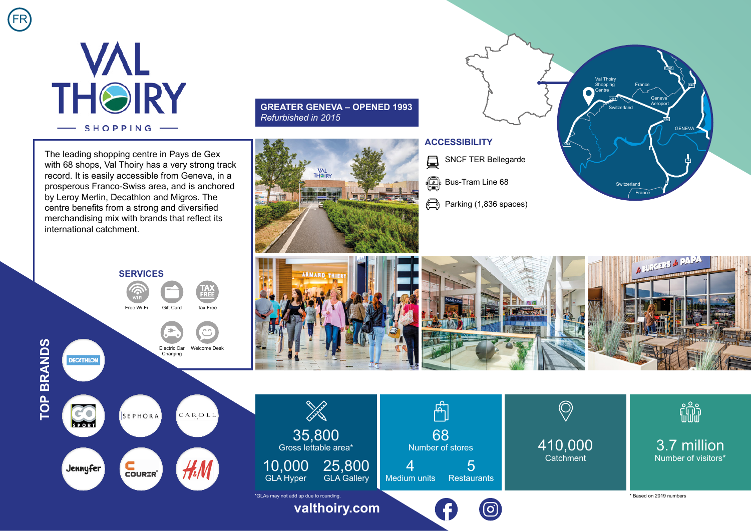

FR

The leading shopping centre in Pays de Gex with 68 shops. Val Thoiry has a very strong track record. It is easily accessible from Geneva, in a prosperous Franco-Swiss area, and is anchored by Leroy Merlin, Decathlon and Migros. The centre benefits from a strong and diversified merchandising mix with brands that reflect its international catchment.

## **GREATER GENEVA – OPENED 1993** *Refurbished in 2015*



**ARMAND TH** 

## **ACCESSIBILITY**

SNCF TER Bellegarde  $\Box$ 

**Bus-Tram Line 68** 

Parking (1,836 spaces)





c'o

SPORT

Jennyfer



 $C$ <br> $C$ OURIR'





**[valthoiry.com](https://www.valthoiry.com/)**



ြင

410,000 **Catchment** 



\* Based on 2019 numbers

**BURGERS & PAP**